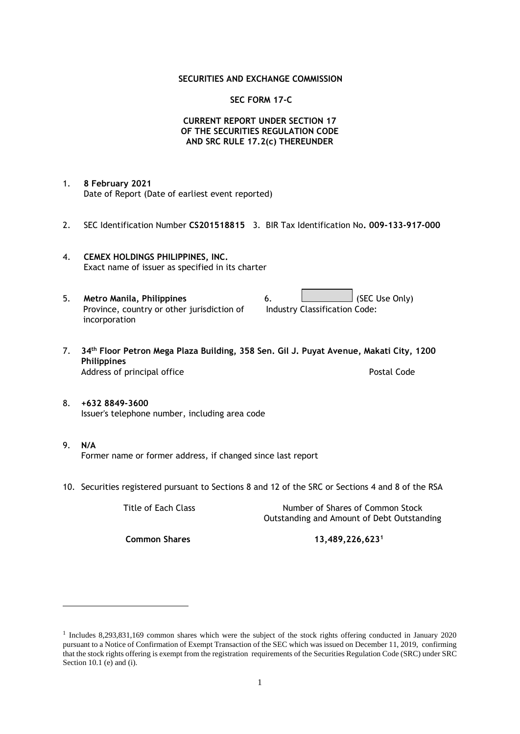#### **SECURITIES AND EXCHANGE COMMISSION**

#### **SEC FORM 17-C**

### **CURRENT REPORT UNDER SECTION 17 OF THE SECURITIES REGULATION CODE AND SRC RULE 17.2(c) THEREUNDER**

- 1. **8 February 2021** Date of Report (Date of earliest event reported)
- 2. SEC Identification Number **CS201518815** 3. BIR Tax Identification No**. 009-133-917-000**
- 4. **CEMEX HOLDINGS PHILIPPINES, INC.** Exact name of issuer as specified in its charter
- 5. **Metro Manila, Philippines** 6. **Consumers 6.** (SEC Use Only) Province, country or other jurisdiction of incorporation Industry Classification Code:
- 7. **34th Floor Petron Mega Plaza Building, 358 Sen. Gil J. Puyat Avenue, Makati City, 1200 Philippines** Address of principal office **Postal Code** Postal Code
- 8. **+632 8849-3600** Issuer's telephone number, including area code
- 9. **N/A** Former name or former address, if changed since last report
- 10. Securities registered pursuant to Sections 8 and 12 of the SRC or Sections 4 and 8 of the RSA

Title of Each Class Number of Shares of Common Stock Outstanding and Amount of Debt Outstanding

**Common Shares 13,489,226,623<sup>1</sup>**

<sup>1</sup> Includes 8,293,831,169 common shares which were the subject of the stock rights offering conducted in January 2020 pursuant to a Notice of Confirmation of Exempt Transaction of the SEC which was issued on December 11, 2019, confirming that the stock rights offering is exempt from the registration requirements of the Securities Regulation Code (SRC) under SRC Section 10.1 (e) and (i).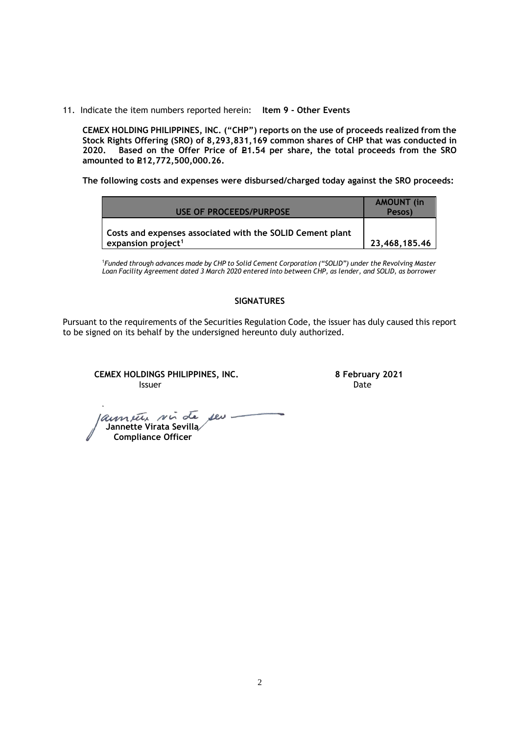11. Indicate the item numbers reported herein: **Item 9 - Other Events**

**CEMEX HOLDING PHILIPPINES, INC. ("CHP") reports on the use of proceeds realized from the Stock Rights Offering (SRO) of 8,293,831,169 common shares of CHP that was conducted in**  Based on the Offer Price of £1.54 per share, the total proceeds from the SRO **amounted to P12,772,500,000.26.** 

**The following costs and expenses were disbursed/charged today against the SRO proceeds:**

| USE OF PROCEEDS/PURPOSE                                                                     | <b>AMOUNT (in)</b><br>Pesos) |
|---------------------------------------------------------------------------------------------|------------------------------|
| Costs and expenses associated with the SOLID Cement plant<br>expansion project <sup>1</sup> | 23,468,185,46                |

<sup>1</sup>*Funded through advances made by CHP to Solid Cement Corporation ("SOLID") under the Revolving Master Loan Facility Agreement dated 3 March 2020 entered into between CHP, as lender, and SOLID, as borrower*

## **SIGNATURES**

Pursuant to the requirements of the Securities Regulation Code, the issuer has duly caused this report to be signed on its behalf by the undersigned hereunto duly authorized.

**CEMEX HOLDINGS PHILIPPINES, INC. 8 February 2021 Issuer Date** 

 **Jannette Virata Sevilla Compliance Officer**